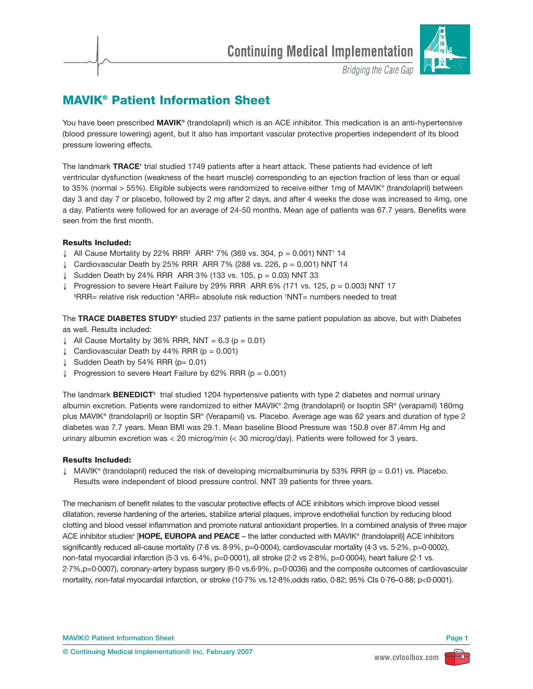

**Bridging the Care Gap** 

# **MAVIK® Patient Information Sheet**

You have been prescribed **MAVIK<sup>®</sup>** (trandolapril) which is an ACE inhibitor. This medication is an anti-hypertensive (blood pressure lowering) agent, but it also has important vascular protective properties independent of its blood pressure lowering effects.

The landmark **TRACE**<sup>1</sup> trial studied 1749 patients after a heart attack. These patients had evidence of left ventricular dysfunction (weakness of the heart muscle) corresponding to an ejection fraction of less than or equal to 35% (normal > 55%). Eligible subjects were randomized to receive either 1mg of MAVIK® (trandolapril) between day 3 and day 7 or placebo, followed by 2 mg after 2 days, and after 4 weeks the dose was increased to 4mg, one a day. Patients were followed for an average of 24-50 months. Mean age of patients was 67.7 years. Benefits were seen from the first month.

## **Results Included:**

- ↓ All Cause Mortality by 22% RRR<sup>§</sup> ARR<sup>\*</sup> 7% (369 vs. 304, p = 0.001) NNT<sup>†</sup> 14
- ↓ Cardiovascular Death by 25% RRR ARR 7% (288 vs. 226, p = 0.001) NNT 14
- ↓ Sudden Death by 24% RRR ARR 3% (133 vs. 105,  $p = 0.03$ ) NNT 33
- ↓ Progression to severe Heart Failure by 29% RRR ARR 6% (171 vs. 125,  $p = 0.003$ ) NNT 17 § RRR= relative risk reduction \*ARR= absolute risk reduction † NNT= numbers needed to treat

The **TRACE DIABETES STUDY2** studied 237 patients in the same patient population as above, but with Diabetes as well. Results included:

- ↓ All Cause Mortality by 36% RRR, NNT =  $6.3$  (p = 0.01)
- ↓ Cardiovascular Death by  $44\%$  RRR (p = 0.001)
- ↓ Sudden Death by 54% RRR ( $p= 0.01$ )
- ↓ Progression to severe Heart Failure by 62% RRR (p = 0.001)

The landmark **BENEDICT3** trial studied 1204 hypertensive patients with type 2 diabetes and normal urinary albumin excretion. Patients were randomized to either MAVIK® 2mg (trandolapril) or Isoptin SR® (verapamil) 180mg plus MAVIK® (trandolapril) or Isoptin SR® (Verapamil) vs. Placebo. Average age was 62 years and duration of type 2 diabetes was 7.7 years. Mean BMI was 29.1. Mean baseline Blood Pressure was 150.8 over 87.4mm Hg and urinary albumin excretion was < 20 microg/min (< 30 microg/day). Patients were followed for 3 years.

## **Results Included:**

 $\downarrow$  MAVIK® (trandolapril) reduced the risk of developing microalbuminuria by 53% RRR (p = 0.01) vs. Placebo. Results were independent of blood pressure control. NNT 39 patients for three years.

The mechanism of benefit relates to the vascular protective effects of ACE inhibitors which improve blood vessel dilatation, reverse hardening of the arteries, stabilize arterial plaques, improve endothelial function by reducing blood clotting and blood vessel inflammation and promote natural antioxidant properties. In a combined analysis of three major ACE inhibitor studies<sup>4</sup> [HOPE, EUROPA and PEACE – the latter conducted with MAVIK® (trandolapril)] ACE inhibitors significantly reduced all-cause mortality (7·8 vs. 8·9%, p=0·0004), cardiovascular mortality (4·3 vs. 5·2%, p=0·0002), non-fatal myocardial infarction (5·3 vs. 6·4%, p=0·0001), all stroke (2·2 vs 2·8%, p=0·0004), heart failure (2·1 vs. 2·7%,p=0·0007), coronary-artery bypass surgery (6·0 vs.6·9%, p=0·0036) and the composite outcomes of cardiovascular mortality, non-fatal myocardial infarction, or stroke (10·7% vs.12·8%,odds ratio, 0·82; 95% CIs 0·76–0·88; p<0·0001).